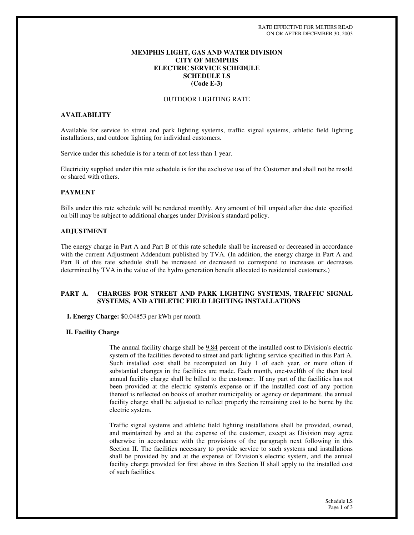## **MEMPHIS LIGHT, GAS AND WATER DIVISION CITY OF MEMPHIS ELECTRIC SERVICE SCHEDULE SCHEDULE LS (Code E-3)**

#### OUTDOOR LIGHTING RATE

## **AVAILABILITY**

Available for service to street and park lighting systems, traffic signal systems, athletic field lighting installations, and outdoor lighting for individual customers.

Service under this schedule is for a term of not less than 1 year.

Electricity supplied under this rate schedule is for the exclusive use of the Customer and shall not be resold or shared with others.

#### **PAYMENT**

Bills under this rate schedule will be rendered monthly. Any amount of bill unpaid after due date specified on bill may be subject to additional charges under Division's standard policy.

### **ADJUSTMENT**

The energy charge in Part A and Part B of this rate schedule shall be increased or decreased in accordance with the current Adjustment Addendum published by TVA. (In addition, the energy charge in Part A and Part B of this rate schedule shall be increased or decreased to correspond to increases or decreases determined by TVA in the value of the hydro generation benefit allocated to residential customers.)

## **PART A. CHARGES FOR STREET AND PARK LIGHTING SYSTEMS, TRAFFIC SIGNAL SYSTEMS, AND ATHLETIC FIELD LIGHTING INSTALLATIONS**

**I. Energy Charge:** \$0.04853 per kWh per month

#### **II. Facility Charge**

The annual facility charge shall be 9.84 percent of the installed cost to Division's electric system of the facilities devoted to street and park lighting service specified in this Part A. Such installed cost shall be recomputed on July 1 of each year, or more often if substantial changes in the facilities are made. Each month, one-twelfth of the then total annual facility charge shall be billed to the customer. If any part of the facilities has not been provided at the electric system's expense or if the installed cost of any portion thereof is reflected on books of another municipality or agency or department, the annual facility charge shall be adjusted to reflect properly the remaining cost to be borne by the electric system.

Traffic signal systems and athletic field lighting installations shall be provided, owned, and maintained by and at the expense of the customer, except as Division may agree otherwise in accordance with the provisions of the paragraph next following in this Section II. The facilities necessary to provide service to such systems and installations shall be provided by and at the expense of Division's electric system, and the annual facility charge provided for first above in this Section II shall apply to the installed cost of such facilities.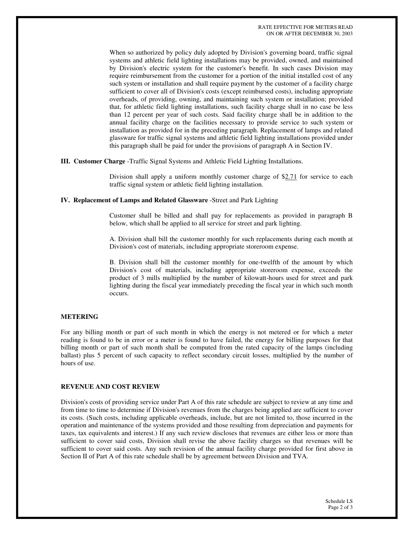When so authorized by policy duly adopted by Division's governing board, traffic signal systems and athletic field lighting installations may be provided, owned, and maintained by Division's electric system for the customer's benefit. In such cases Division may require reimbursement from the customer for a portion of the initial installed cost of any such system or installation and shall require payment by the customer of a facility charge sufficient to cover all of Division's costs (except reimbursed costs), including appropriate overheads, of providing, owning, and maintaining such system or installation; provided that, for athletic field lighting installations, such facility charge shall in no case be less than 12 percent per year of such costs. Said facility charge shall be in addition to the annual facility charge on the facilities necessary to provide service to such system or installation as provided for in the preceding paragraph. Replacement of lamps and related glassware for traffic signal systems and athletic field lighting installations provided under this paragraph shall be paid for under the provisions of paragraph A in Section IV.

#### **III. Customer Charge** -Traffic Signal Systems and Athletic Field Lighting Installations.

Division shall apply a uniform monthly customer charge of  $$2.71$  for service to each traffic signal system or athletic field lighting installation.

## **IV. Replacement of Lamps and Related Glassware** -Street and Park Lighting

Customer shall be billed and shall pay for replacements as provided in paragraph B below, which shall be applied to all service for street and park lighting.

A. Division shall bill the customer monthly for such replacements during each month at Division's cost of materials, including appropriate storeroom expense.

B. Division shall bill the customer monthly for one-twelfth of the amount by which Division's cost of materials, including appropriate storeroom expense, exceeds the product of 3 mills multiplied by the number of kilowatt-hours used for street and park lighting during the fiscal year immediately preceding the fiscal year in which such month occurs.

#### **METERING**

For any billing month or part of such month in which the energy is not metered or for which a meter reading is found to be in error or a meter is found to have failed, the energy for billing purposes for that billing month or part of such month shall be computed from the rated capacity of the lamps (including ballast) plus 5 percent of such capacity to reflect secondary circuit losses, multiplied by the number of hours of use.

#### **REVENUE AND COST REVIEW**

Division's costs of providing service under Part A of this rate schedule are subject to review at any time and from time to time to determine if Division's revenues from the charges being applied are sufficient to cover its costs. (Such costs, including applicable overheads, include, but are not limited to, those incurred in the operation and maintenance of the systems provided and those resulting from depreciation and payments for taxes, tax equivalents and interest.) If any such review discloses that revenues are either less or more than sufficient to cover said costs, Division shall revise the above facility charges so that revenues will be sufficient to cover said costs. Any such revision of the annual facility charge provided for first above in Section II of Part A of this rate schedule shall be by agreement between Division and TVA.